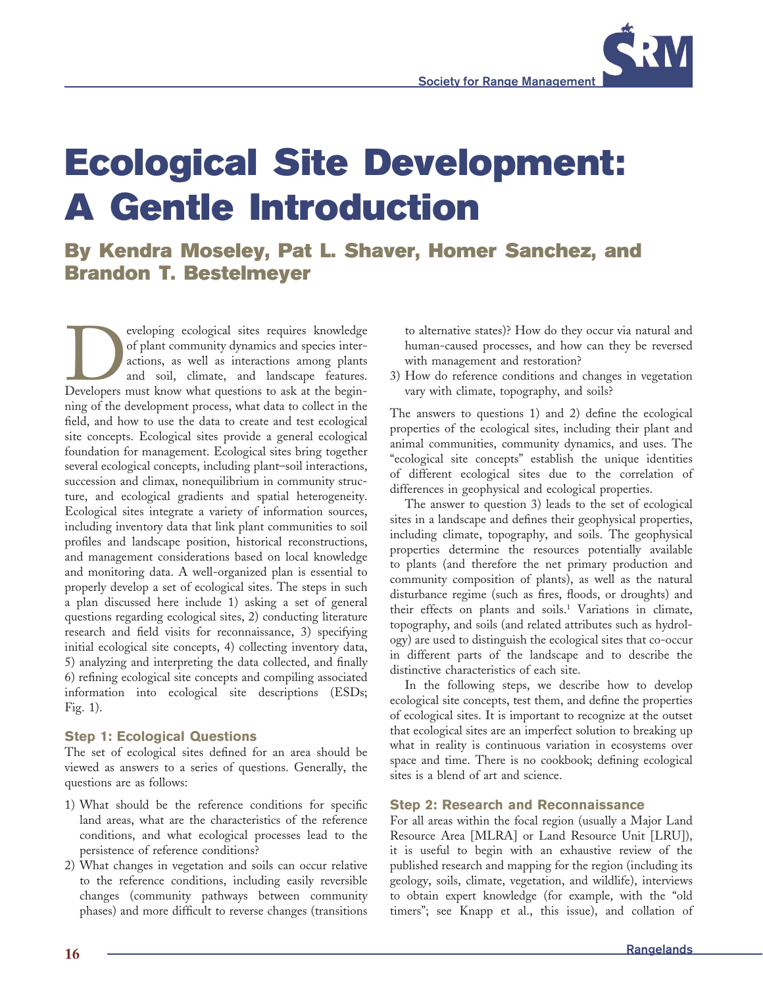# **Ecological Site Development: A Gentle Introduction**

# **By Kendra Moseley, Pat L. Shaver, Homer Sanchez, and Brandon T. Bestelmeyer**

eveloping ecological sites requires knowledge of plant community dynamics and species inter-<br>actions, as well as interactions among plants and soil, climate, and landscape features.<br>Developers must know what questions to a of plant community dynamics and species interactions, as well as interactions among plants and soil, climate, and landscape features. ning of the development process, what data to collect in the field, and how to use the data to create and test ecological site concepts. Ecological sites provide a general ecological foundation for management. Ecological sites bring together several ecological concepts, including plant–soil interactions, succession and climax, nonequilibrium in community structure, and ecological gradients and spatial heterogeneity. Ecological sites integrate a variety of information sources, including inventory data that link plant communities to soil profiles and landscape position, historical reconstructions, and management considerations based on local knowledge and monitoring data. A well-organized plan is essential to properly develop a set of ecological sites. The steps in such a plan discussed here include 1) asking a set of general questions regarding ecological sites, 2) conducting literature research and field visits for reconnaissance, 3) specifying initial ecological site concepts, 4) collecting inventory data, 5) analyzing and interpreting the data collected, and finally 6) refining ecological site concepts and compiling associated information into ecological site descriptions (ESDs; Fig. 1).

#### **Step 1: Ecological Questions**

The set of ecological sites defined for an area should be viewed as answers to a series of questions. Generally, the questions are as follows:

- 1) What should be the reference conditions for specific land areas, what are the characteristics of the reference conditions, and what ecological processes lead to the persistence of reference conditions?
- 2) What changes in vegetation and soils can occur relative to the reference conditions, including easily reversible changes (community pathways between community phases) and more difficult to reverse changes (transitions

to alternative states)? How do they occur via natural and human-caused processes, and how can they be reversed with management and restoration?

3) How do reference conditions and changes in vegetation vary with climate, topography, and soils?

The answers to questions 1) and 2) define the ecological properties of the ecological sites, including their plant and animal communities, community dynamics, and uses. The "ecological site concepts" establish the unique identities of different ecological sites due to the correlation of differences in geophysical and ecological properties.

The answer to question 3) leads to the set of ecological sites in a landscape and defines their geophysical properties, including climate, topography, and soils. The geophysical properties determine the resources potentially available to plants (and therefore the net primary production and community composition of plants), as well as the natural disturbance regime (such as fires, floods, or droughts) and their effects on plants and soils.<sup>1</sup> Variations in climate, topography, and soils (and related attributes such as hydrology) are used to distinguish the ecological sites that co-occur in different parts of the landscape and to describe the distinctive characteristics of each site.

In the following steps, we describe how to develop ecological site concepts, test them, and define the properties of ecological sites. It is important to recognize at the outset that ecological sites are an imperfect solution to breaking up what in reality is continuous variation in ecosystems over space and time. There is no cookbook; defining ecological sites is a blend of art and science.

#### **Step 2: Research and Reconnaissance**

For all areas within the focal region (usually a Major Land Resource Area [MLRA] or Land Resource Unit [LRU]), it is useful to begin with an exhaustive review of the published research and mapping for the region (including its geology, soils, climate, vegetation, and wildlife), interviews to obtain expert knowledge (for example, with the "old timers"; see Knapp et al., this issue), and collation of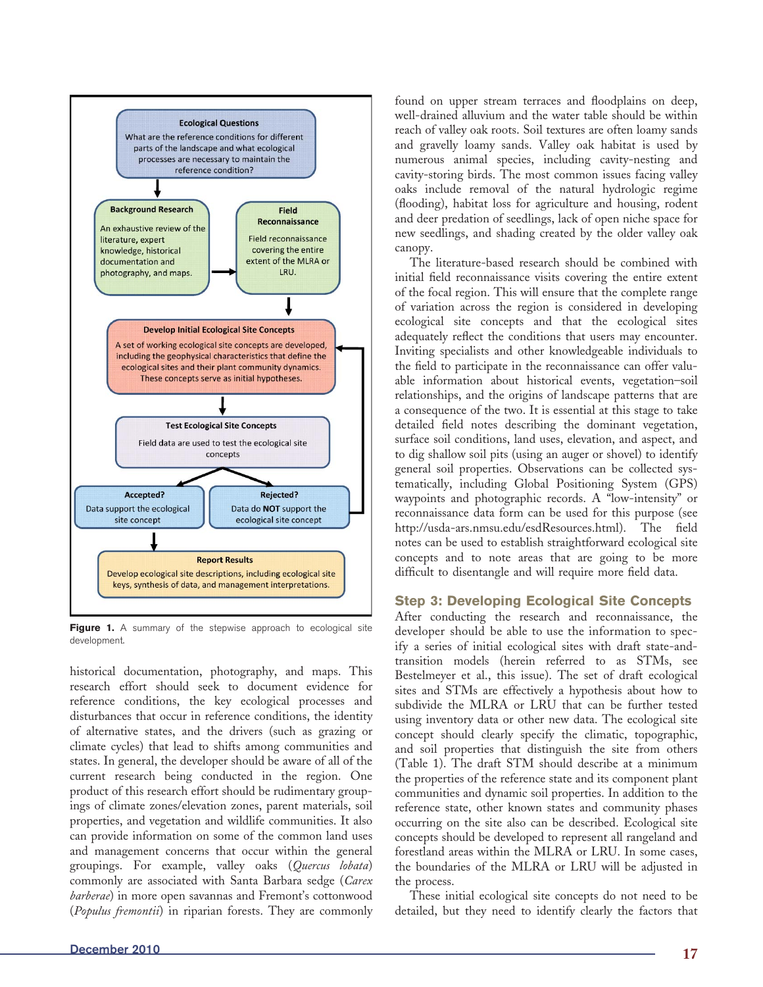

Figure 1. A summary of the stepwise approach to ecological site development.

historical documentation, photography, and maps. This research effort should seek to document evidence for reference conditions, the key ecological processes and disturbances that occur in reference conditions, the identity of alternative states, and the drivers (such as grazing or climate cycles) that lead to shifts among communities and states. In general, the developer should be aware of all of the current research being conducted in the region. One product of this research effort should be rudimentary groupings of climate zones/elevation zones, parent materials, soil properties, and vegetation and wildlife communities. It also can provide information on some of the common land uses and management concerns that occur within the general groupings. For example, valley oaks (*Quercus lobata*) commonly are associated with Santa Barbara sedge (*Carex barberae*) in more open savannas and Fremont's cottonwood (*Populus fremontii*) in riparian forests. They are commonly

found on upper stream terraces and floodplains on deep, well-drained alluvium and the water table should be within reach of valley oak roots. Soil textures are often loamy sands and gravelly loamy sands. Valley oak habitat is used by numerous animal species, including cavity-nesting and cavity-storing birds. The most common issues facing valley oaks include removal of the natural hydrologic regime (flooding), habitat loss for agriculture and housing, rodent and deer predation of seedlings, lack of open niche space for new seedlings, and shading created by the older valley oak canopy.

The literature-based research should be combined with initial field reconnaissance visits covering the entire extent of the focal region. This will ensure that the complete range of variation across the region is considered in developing ecological site concepts and that the ecological sites adequately reflect the conditions that users may encounter. Inviting specialists and other knowledgeable individuals to the field to participate in the reconnaissance can offer valuable information about historical events, vegetation–soil relationships, and the origins of landscape patterns that are a consequence of the two. It is essential at this stage to take detailed field notes describing the dominant vegetation, surface soil conditions, land uses, elevation, and aspect, and to dig shallow soil pits (using an auger or shovel) to identify general soil properties. Observations can be collected systematically, including Global Positioning System (GPS) waypoints and photographic records. A "low-intensity" or reconnaissance data form can be used for this purpose (see http://usda-ars.nmsu.edu/esdResources.html). The field notes can be used to establish straightforward ecological site concepts and to note areas that are going to be more difficult to disentangle and will require more field data.

## **Step 3: Developing Ecological Site Concepts**

After conducting the research and reconnaissance, the developer should be able to use the information to specify a series of initial ecological sites with draft state-andtransition models (herein referred to as STMs, see Bestelmeyer et al., this issue). The set of draft ecological sites and STMs are effectively a hypothesis about how to subdivide the MLRA or LRU that can be further tested using inventory data or other new data. The ecological site concept should clearly specify the climatic, topographic, and soil properties that distinguish the site from others (Table 1). The draft STM should describe at a minimum the properties of the reference state and its component plant communities and dynamic soil properties. In addition to the reference state, other known states and community phases occurring on the site also can be described. Ecological site concepts should be developed to represent all rangeland and forestland areas within the MLRA or LRU. In some cases, the boundaries of the MLRA or LRU will be adjusted in the process.

These initial ecological site concepts do not need to be detailed, but they need to identify clearly the factors that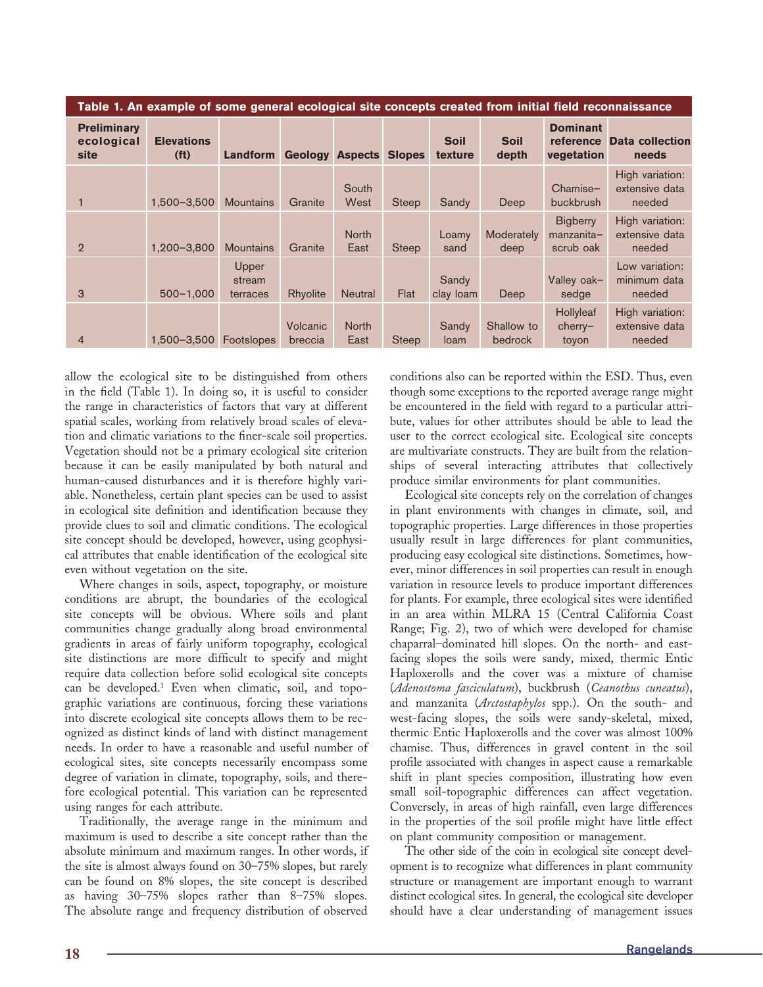| Table 1. An example of some general ecological site concepts created from initial field reconnaissance |                                    |                             |                     |                      |               |                        |                       |                                            |                                             |
|--------------------------------------------------------------------------------------------------------|------------------------------------|-----------------------------|---------------------|----------------------|---------------|------------------------|-----------------------|--------------------------------------------|---------------------------------------------|
| <b>Preliminary</b><br>ecological<br>site                                                               | <b>Elevations</b><br>( <b>ft</b> ) | <b>Landform</b>             | <b>Geology</b>      | <b>Aspects</b>       | <b>Slopes</b> | <b>Soil</b><br>texture | <b>Soil</b><br>depth  | <b>Dominant</b><br>reference<br>vegetation | <b>Data collection</b><br>needs             |
|                                                                                                        | 1,500-3,500                        | <b>Mountains</b>            | Granite             | South<br>West        | <b>Steep</b>  | Sandy                  | Deep                  | Chamise-<br>buckbrush                      | High variation:<br>extensive data<br>needed |
| $\overline{2}$                                                                                         | 1,200-3,800                        | <b>Mountains</b>            | Granite             | <b>North</b><br>East | <b>Steep</b>  | Loamy<br>sand          | Moderately<br>deep    | <b>Bigberry</b><br>manzanita-<br>scrub oak | High variation:<br>extensive data<br>needed |
| 3                                                                                                      | $500 - 1,000$                      | Upper<br>stream<br>terraces | Rhyolite            | <b>Neutral</b>       | Flat          | Sandy<br>clay loam     | Deep                  | Valley oak-<br>sedge                       | Low variation:<br>minimum data<br>needed    |
| $\overline{4}$                                                                                         | 1.500-3.500                        | <b>Footslopes</b>           | Volcanic<br>breccia | <b>North</b><br>East | <b>Steep</b>  | Sandy<br>loam          | Shallow to<br>bedrock | Hollyleaf<br>$cherry-$<br>toyon            | High variation:<br>extensive data<br>needed |

allow the ecological site to be distinguished from others in the field (Table 1). In doing so, it is useful to consider the range in characteristics of factors that vary at different spatial scales, working from relatively broad scales of elevation and climatic variations to the finer-scale soil properties. Vegetation should not be a primary ecological site criterion because it can be easily manipulated by both natural and human-caused disturbances and it is therefore highly variable. Nonetheless, certain plant species can be used to assist in ecological site definition and identification because they provide clues to soil and climatic conditions. The ecological site concept should be developed, however, using geophysical attributes that enable identification of the ecological site even without vegetation on the site.

Where changes in soils, aspect, topography, or moisture conditions are abrupt, the boundaries of the ecological site concepts will be obvious. Where soils and plant communities change gradually along broad environmental gradients in areas of fairly uniform topography, ecological site distinctions are more difficult to specify and might require data collection before solid ecological site concepts can be developed.1 Even when climatic, soil, and topographic variations are continuous, forcing these variations into discrete ecological site concepts allows them to be recognized as distinct kinds of land with distinct management needs. In order to have a reasonable and useful number of ecological sites, site concepts necessarily encompass some degree of variation in climate, topography, soils, and therefore ecological potential. This variation can be represented using ranges for each attribute.

Traditionally, the average range in the minimum and maximum is used to describe a site concept rather than the absolute minimum and maximum ranges. In other words, if the site is almost always found on 30–75% slopes, but rarely can be found on 8% slopes, the site concept is described as having 30–75% slopes rather than 8–75% slopes. The absolute range and frequency distribution of observed

conditions also can be reported within the ESD. Thus, even though some exceptions to the reported average range might be encountered in the field with regard to a particular attribute, values for other attributes should be able to lead the user to the correct ecological site. Ecological site concepts are multivariate constructs. They are built from the relationships of several interacting attributes that collectively produce similar environments for plant communities.

Ecological site concepts rely on the correlation of changes in plant environments with changes in climate, soil, and topographic properties. Large differences in those properties usually result in large differences for plant communities, producing easy ecological site distinctions. Sometimes, however, minor differences in soil properties can result in enough variation in resource levels to produce important differences for plants. For example, three ecological sites were identified in an area within MLRA 15 (Central California Coast Range; Fig. 2), two of which were developed for chamise chaparral–dominated hill slopes. On the north- and eastfacing slopes the soils were sandy, mixed, thermic Entic Haploxerolls and the cover was a mixture of chamise (*Adenostoma fasciculatum*), buckbrush (*Ceanothus cuneatus*), and manzanita (*Arctostaphylos* spp.). On the south- and west-facing slopes, the soils were sandy-skeletal, mixed, thermic Entic Haploxerolls and the cover was almost 100% chamise. Thus, differences in gravel content in the soil profile associated with changes in aspect cause a remarkable shift in plant species composition, illustrating how even small soil-topographic differences can affect vegetation. Conversely, in areas of high rainfall, even large differences in the properties of the soil profile might have little effect on plant community composition or management.

The other side of the coin in ecological site concept development is to recognize what differences in plant community structure or management are important enough to warrant distinct ecological sites. In general, the ecological site developer should have a clear understanding of management issues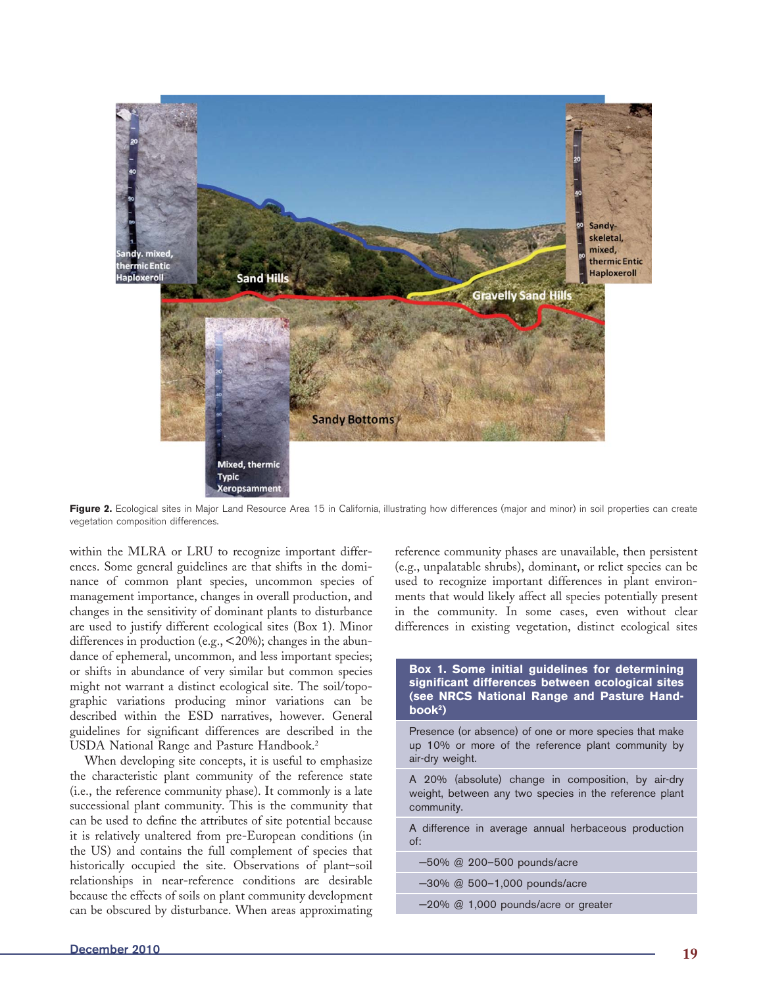

Figure 2. Ecological sites in Major Land Resource Area 15 in California, illustrating how differences (major and minor) in soil properties can create vegetation composition differences.

within the MLRA or LRU to recognize important differences. Some general guidelines are that shifts in the dominance of common plant species, uncommon species of management importance, changes in overall production, and changes in the sensitivity of dominant plants to disturbance are used to justify different ecological sites (Box 1). Minor differences in production (e.g., < 20%); changes in the abundance of ephemeral, uncommon, and less important species; or shifts in abundance of very similar but common species might not warrant a distinct ecological site. The soil/topographic variations producing minor variations can be described within the ESD narratives, however. General guidelines for significant differences are described in the USDA National Range and Pasture Handbook.<sup>2</sup>

When developing site concepts, it is useful to emphasize the characteristic plant community of the reference state (i.e., the reference community phase). It commonly is a late successional plant community. This is the community that can be used to define the attributes of site potential because it is relatively unaltered from pre-European conditions (in the US) and contains the full complement of species that historically occupied the site. Observations of plant–soil relationships in near-reference conditions are desirable because the effects of soils on plant community development can be obscured by disturbance. When areas approximating reference community phases are unavailable, then persistent (e.g., unpalatable shrubs), dominant, or relict species can be used to recognize important differences in plant environments that would likely affect all species potentially present in the community. In some cases, even without clear differences in existing vegetation, distinct ecological sites

**Box 1. Some initial guidelines for determining signifi cant differences between ecological sites (see NRCS National Range and Pasture Handbook2 )**

Presence (or absence) of one or more species that make up 10% or more of the reference plant community by air-dry weight.

A 20% (absolute) change in composition, by air-dry weight, between any two species in the reference plant community.

A difference in average annual herbaceous production of:

−50% @ 200–500 pounds/acre

−30% @ 500–1,000 pounds/acre

−20% @ 1,000 pounds/acre or greater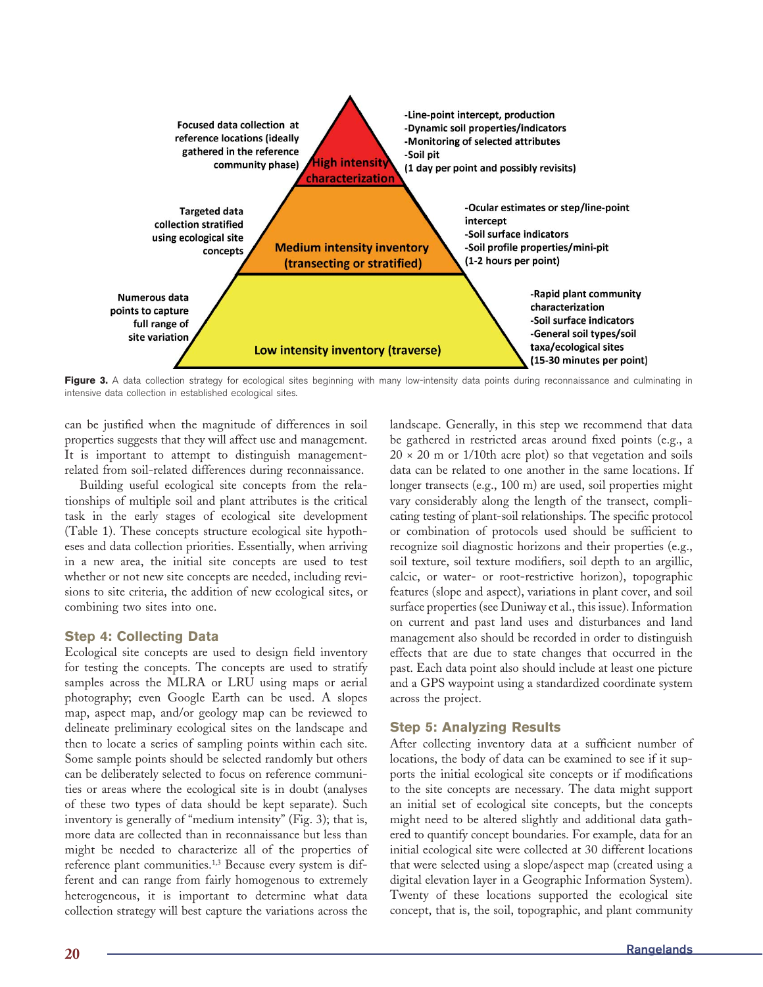

Figure 3. A data collection strategy for ecological sites beginning with many low-intensity data points during reconnaissance and culminating in intensive data collection in established ecological sites.

can be justified when the magnitude of differences in soil properties suggests that they will affect use and management. It is important to attempt to distinguish managementrelated from soil-related differences during reconnaissance.

Building useful ecological site concepts from the relationships of multiple soil and plant attributes is the critical task in the early stages of ecological site development (Table 1). These concepts structure ecological site hypotheses and data collection priorities. Essentially, when arriving in a new area, the initial site concepts are used to test whether or not new site concepts are needed, including revisions to site criteria, the addition of new ecological sites, or combining two sites into one.

#### **Step 4: Collecting Data**

Ecological site concepts are used to design field inventory for testing the concepts. The concepts are used to stratify samples across the MLRA or LRU using maps or aerial photography; even Google Earth can be used. A slopes map, aspect map, and/or geology map can be reviewed to delineate preliminary ecological sites on the landscape and then to locate a series of sampling points within each site. Some sample points should be selected randomly but others can be deliberately selected to focus on reference communities or areas where the ecological site is in doubt (analyses of these two types of data should be kept separate). Such inventory is generally of "medium intensity" (Fig. 3); that is, more data are collected than in reconnaissance but less than might be needed to characterize all of the properties of reference plant communities.<sup>1,3</sup> Because every system is different and can range from fairly homogenous to extremely heterogeneous, it is important to determine what data collection strategy will best capture the variations across the

landscape. Generally, in this step we recommend that data be gathered in restricted areas around fixed points (e.g., a  $20 \times 20$  m or 1/10th acre plot) so that vegetation and soils data can be related to one another in the same locations. If longer transects (e.g., 100 m) are used, soil properties might vary considerably along the length of the transect, complicating testing of plant-soil relationships. The specific protocol or combination of protocols used should be sufficient to recognize soil diagnostic horizons and their properties (e.g., soil texture, soil texture modifiers, soil depth to an argillic, calcic, or water- or root-restrictive horizon), topographic features (slope and aspect), variations in plant cover, and soil surface properties (see Duniway et al., this issue). Information on current and past land uses and disturbances and land management also should be recorded in order to distinguish effects that are due to state changes that occurred in the past. Each data point also should include at least one picture and a GPS waypoint using a standardized coordinate system across the project.

## **Step 5: Analyzing Results**

After collecting inventory data at a sufficient number of locations, the body of data can be examined to see if it supports the initial ecological site concepts or if modifications to the site concepts are necessary. The data might support an initial set of ecological site concepts, but the concepts might need to be altered slightly and additional data gathered to quantify concept boundaries. For example, data for an initial ecological site were collected at 30 different locations that were selected using a slope/aspect map (created using a digital elevation layer in a Geographic Information System). Twenty of these locations supported the ecological site concept, that is, the soil, topographic, and plant community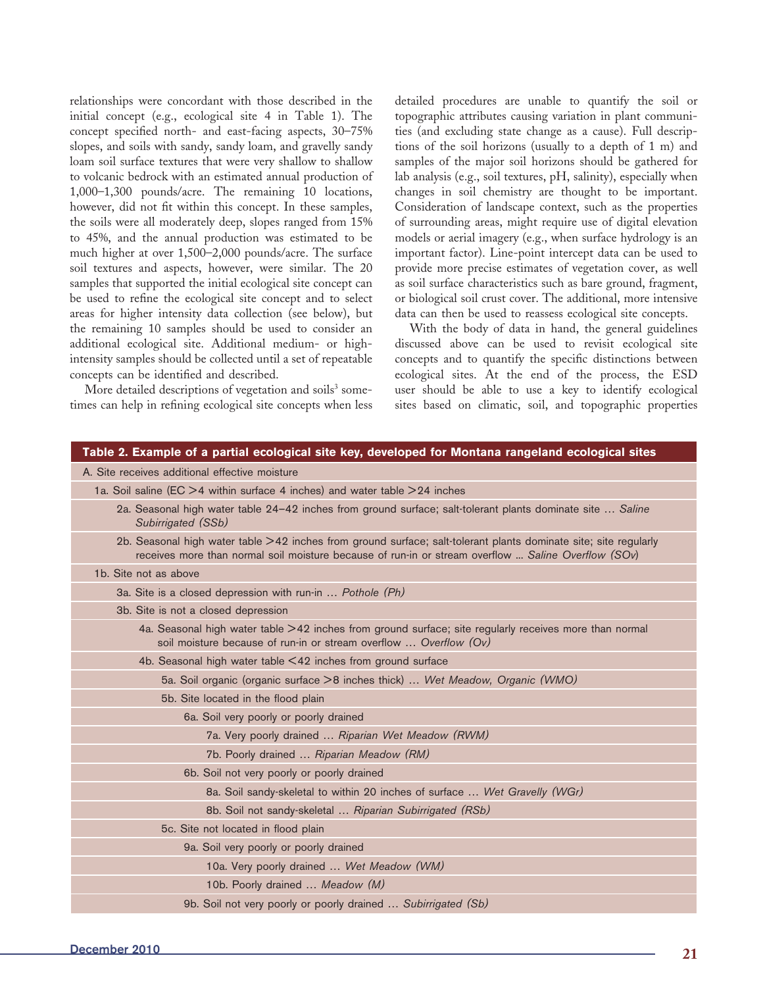relationships were concordant with those described in the initial concept (e.g., ecological site 4 in Table 1). The concept specified north- and east-facing aspects, 30–75% slopes, and soils with sandy, sandy loam, and gravelly sandy loam soil surface textures that were very shallow to shallow to volcanic bedrock with an estimated annual production of 1,000–1,300 pounds/acre. The remaining 10 locations, however, did not fit within this concept. In these samples, the soils were all moderately deep, slopes ranged from 15% to 45%, and the annual production was estimated to be much higher at over 1,500–2,000 pounds/acre. The surface soil textures and aspects, however, were similar. The 20 samples that supported the initial ecological site concept can be used to refine the ecological site concept and to select areas for higher intensity data collection (see below), but the remaining 10 samples should be used to consider an additional ecological site. Additional medium- or highintensity samples should be collected until a set of repeatable concepts can be identified and described.

More detailed descriptions of vegetation and soils $^3$  sometimes can help in refining ecological site concepts when less detailed procedures are unable to quantify the soil or topographic attributes causing variation in plant communities (and excluding state change as a cause). Full descriptions of the soil horizons (usually to a depth of 1 m) and samples of the major soil horizons should be gathered for lab analysis (e.g., soil textures, pH, salinity), especially when changes in soil chemistry are thought to be important. Consideration of landscape context, such as the properties of surrounding areas, might require use of digital elevation models or aerial imagery (e.g., when surface hydrology is an important factor). Line-point intercept data can be used to provide more precise estimates of vegetation cover, as well as soil surface characteristics such as bare ground, fragment, or biological soil crust cover. The additional, more intensive data can then be used to reassess ecological site concepts.

With the body of data in hand, the general guidelines discussed above can be used to revisit ecological site concepts and to quantify the specific distinctions between ecological sites. At the end of the process, the ESD user should be able to use a key to identify ecological sites based on climatic, soil, and topographic properties